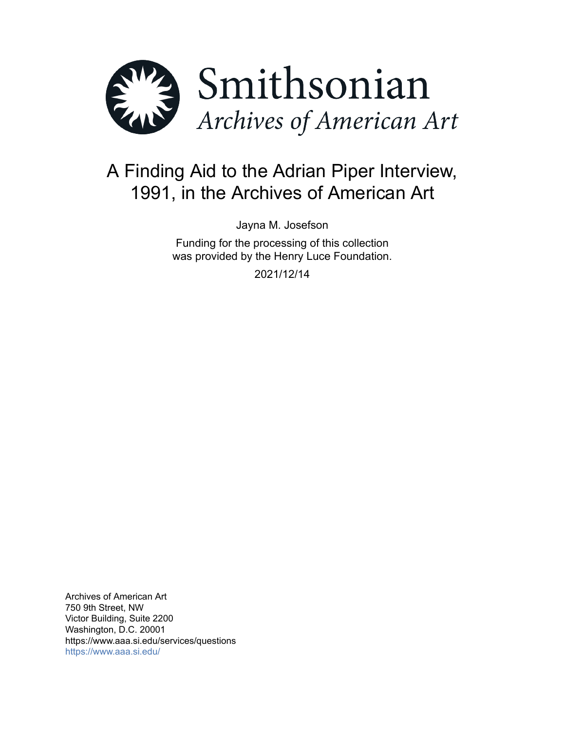

# A Finding Aid to the Adrian Piper Interview, 1991, in the Archives of American Art

Jayna M. Josefson

Funding for the processing of this collection was provided by the Henry Luce Foundation.

2021/12/14

Archives of American Art 750 9th Street, NW Victor Building, Suite 2200 Washington, D.C. 20001 https://www.aaa.si.edu/services/questions <https://www.aaa.si.edu/>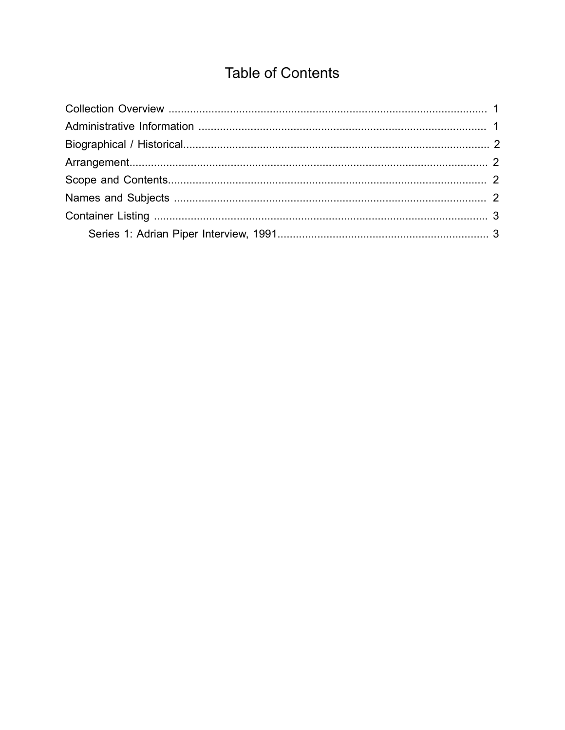## **Table of Contents**

<span id="page-1-0"></span>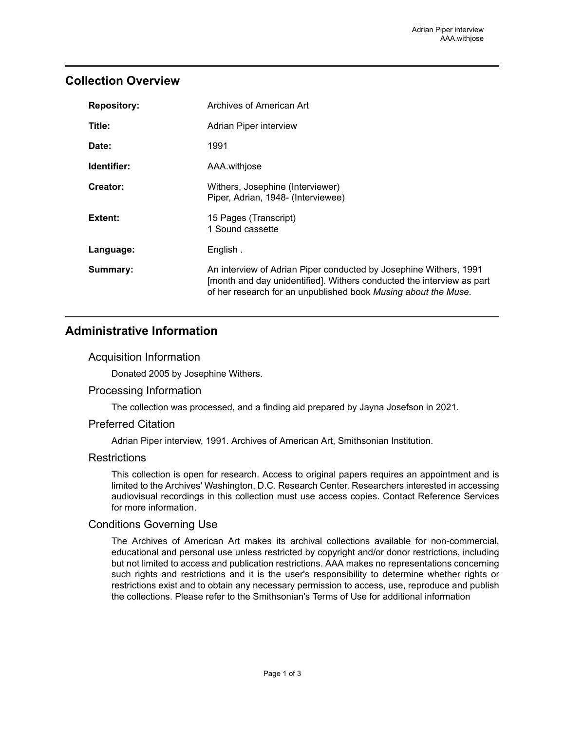## <span id="page-2-0"></span>**Collection Overview**

| <b>Repository:</b> | Archives of American Art                                                                                                                                                                                     |
|--------------------|--------------------------------------------------------------------------------------------------------------------------------------------------------------------------------------------------------------|
| Title:             | Adrian Piper interview                                                                                                                                                                                       |
| Date:              | 1991                                                                                                                                                                                                         |
| Identifier:        | AAA.withjose                                                                                                                                                                                                 |
| Creator:           | Withers, Josephine (Interviewer)<br>Piper, Adrian, 1948- (Interviewee)                                                                                                                                       |
| Extent:            | 15 Pages (Transcript)<br>1 Sound cassette                                                                                                                                                                    |
| Language:          | English.                                                                                                                                                                                                     |
| Summary:           | An interview of Adrian Piper conducted by Josephine Withers, 1991<br>[month and day unidentified]. Withers conducted the interview as part<br>of her research for an unpublished book Musing about the Muse. |

## <span id="page-2-1"></span>**Administrative Information**

#### Acquisition Information

Donated 2005 by Josephine Withers.

#### Processing Information

The collection was processed, and a finding aid prepared by Jayna Josefson in 2021.

#### Preferred Citation

Adrian Piper interview, 1991. Archives of American Art, Smithsonian Institution.

#### **Restrictions**

This collection is open for research. Access to original papers requires an appointment and is limited to the Archives' Washington, D.C. Research Center. Researchers interested in accessing audiovisual recordings in this collection must use access copies. Contact Reference Services for more information.

#### Conditions Governing Use

The Archives of American Art makes its archival collections available for non-commercial, educational and personal use unless restricted by copyright and/or donor restrictions, including but not limited to access and publication restrictions. AAA makes no representations concerning such rights and restrictions and it is the user's responsibility to determine whether rights or restrictions exist and to obtain any necessary permission to access, use, reproduce and publish the collections. Please refer to the Smithsonian's Terms of Use for additional information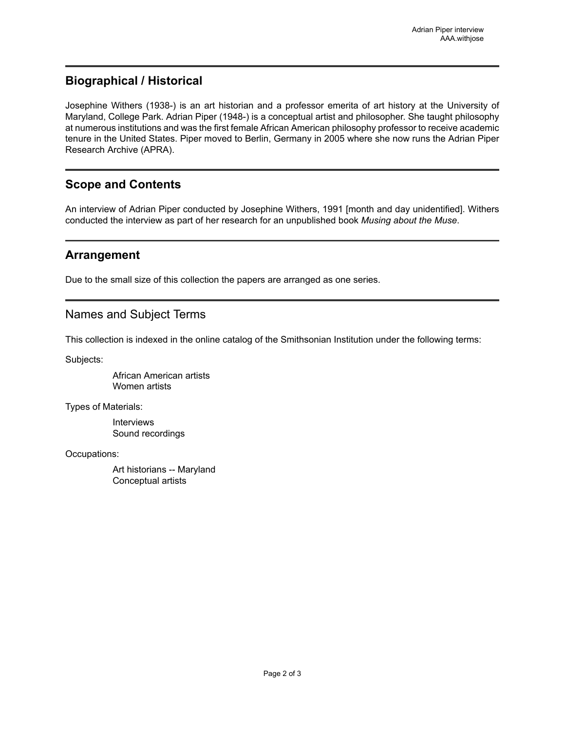## <span id="page-3-0"></span>**Biographical / Historical**

Josephine Withers (1938-) is an art historian and a professor emerita of art history at the University of Maryland, College Park. Adrian Piper (1948-) is a conceptual artist and philosopher. She taught philosophy at numerous institutions and was the first female African American philosophy professor to receive academic tenure in the United States. Piper moved to Berlin, Germany in 2005 where she now runs the Adrian Piper Research Archive (APRA).

## <span id="page-3-2"></span>**Scope and Contents**

An interview of Adrian Piper conducted by Josephine Withers, 1991 [month and day unidentified]. Withers conducted the interview as part of her research for an unpublished book *Musing about the Muse*.

## <span id="page-3-1"></span>**Arrangement**

Due to the small size of this collection the papers are arranged as one series.

### <span id="page-3-3"></span>Names and Subject Terms

This collection is indexed in the online catalog of the Smithsonian Institution under the following terms:

Subjects:

African American artists Women artists

Types of Materials:

Interviews Sound recordings

Occupations:

Art historians -- Maryland Conceptual artists